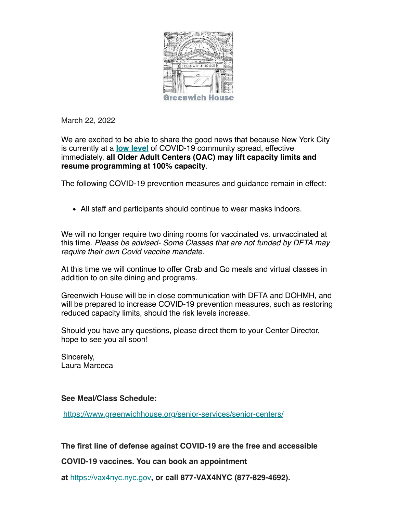

March 22, 2022

We are excited to be able to share the good news that because New York City is currently at a **[low level](https://protect-us.mimecast.com/s/4tIVCG67rWFYBjXhkKj-B)** of COVID-19 community spread, effective immediately, **all Older Adult Centers (OAC) may lift capacity limits and resume programming at 100% capacity**.

The following COVID-19 prevention measures and guidance remain in effect:

All staff and participants should continue to wear masks indoors.

We will no longer require two dining rooms for vaccinated vs. unvaccinated at this time. *Please be advised- Some Classes that are not funded by DFTA may require their own Covid vaccine mandate.* 

At this time we will continue to offer Grab and Go meals and virtual classes in addition to on site dining and programs.

Greenwich House will be in close communication with DFTA and DOHMH, and will be prepared to increase COVID-19 prevention measures, such as restoring reduced capacity limits, should the risk levels increase.

Should you have any questions, please direct them to your Center Director, hope to see you all soon!

Sincerely, Laura Marceca

## **See Meal/Class Schedule:**

<https://www.greenwichhouse.org/senior-services/senior-centers/>

**The first line of defense against COVID-19 are the free and accessible**

**COVID-19 vaccines. You can book an appointment**

**at** [https://vax4nyc.nyc.gov](https://vax4nyc.nyc.gov/)**, or call 877-VAX4NYC (877-829-4692).**